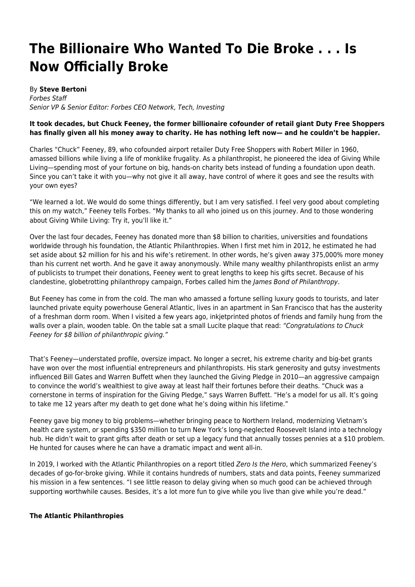# **The Billionaire Who Wanted To Die Broke . . . Is Now Officially Broke**

### By **Steve Bertoni**

Forbes Staff Senior VP & Senior Editor: Forbes CEO Network, Tech, Investing

## **It took decades, but Chuck Feeney, the former billionaire cofounder of retail giant Duty Free Shoppers has finally given all his money away to charity. He has nothing left now— and he couldn't be happier.**

Charles "Chuck" Feeney, 89, who cofounded airport retailer Duty Free Shoppers with Robert Miller in 1960, amassed billions while living a life of monklike frugality. As a philanthropist, he pioneered the idea of Giving While Living—spending most of your fortune on big, hands-on charity bets instead of funding a foundation upon death. Since you can't take it with you—why not give it all away, have control of where it goes and see the results with your own eyes?

"We learned a lot. We would do some things differently, but I am very satisfied. I feel very good about completing this on my watch," Feeney tells Forbes. "My thanks to all who joined us on this journey. And to those wondering about Giving While Living: Try it, you'll like it."

Over the last four decades, Feeney has donated more than \$8 billion to charities, universities and foundations worldwide through his foundation, the Atlantic Philanthropies. When I first met him in 2012, he estimated he had set aside about \$2 million for his and his wife's retirement. In other words, he's given away 375,000% more money than his current net worth. And he gave it away anonymously. While many wealthy philanthropists enlist an army of publicists to trumpet their donations, Feeney went to great lengths to keep his gifts secret. Because of his clandestine, globetrotting philanthropy campaign, Forbes called him the James Bond of Philanthropy.

But Feeney has come in from the cold. The man who amassed a fortune selling luxury goods to tourists, and later launched private equity powerhouse General Atlantic, lives in an apartment in San Francisco that has the austerity of a freshman dorm room. When I visited a few years ago, inkjetprinted photos of friends and family hung from the walls over a plain, wooden table. On the table sat a small Lucite plaque that read: "Congratulations to Chuck Feeney for \$8 billion of philanthropic giving."

That's Feeney—understated profile, oversize impact. No longer a secret, his extreme charity and big-bet grants have won over the most influential entrepreneurs and philanthropists. His stark generosity and gutsy investments influenced Bill Gates and Warren Buffett when they launched the Giving Pledge in 2010—an aggressive campaign to convince the world's wealthiest to give away at least half their fortunes before their deaths. "Chuck was a cornerstone in terms of inspiration for the Giving Pledge," says Warren Buffett. "He's a model for us all. It's going to take me 12 years after my death to get done what he's doing within his lifetime."

Feeney gave big money to big problems—whether bringing peace to Northern Ireland, modernizing Vietnam's health care system, or spending \$350 million to turn New York's long-neglected Roosevelt Island into a technology hub. He didn't wait to grant gifts after death or set up a legacy fund that annually tosses pennies at a \$10 problem. He hunted for causes where he can have a dramatic impact and went all-in.

In 2019, I worked with the Atlantic Philanthropies on a report titled Zero Is the Hero, which summarized Feeney's decades of go-for-broke giving. While it contains hundreds of numbers, stats and data points, Feeney summarized his mission in a few sentences. "I see little reason to delay giving when so much good can be achieved through supporting worthwhile causes. Besides, it's a lot more fun to give while you live than give while you're dead."

# **The Atlantic Philanthropies**